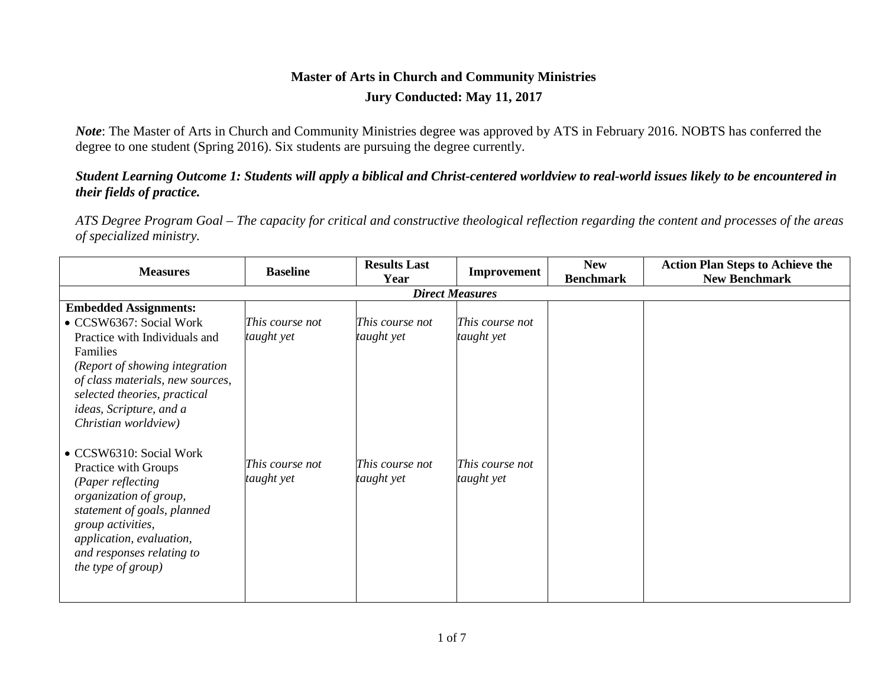### **Master of Arts in Church and Community Ministries Jury Conducted: May 11, 2017**

*Note*: The Master of Arts in Church and Community Ministries degree was approved by ATS in February 2016. NOBTS has conferred the degree to one student (Spring 2016). Six students are pursuing the degree currently.

### *Student Learning Outcome 1: Students will apply a biblical and Christ-centered worldview to real-world issues likely to be encountered in their fields of practice.*

*ATS Degree Program Goal – The capacity for critical and constructive theological reflection regarding the content and processes of the areas of specialized ministry.*

| <b>Measures</b>                  | <b>Baseline</b>        | <b>Results Last</b> | Improvement     | <b>New</b>       | <b>Action Plan Steps to Achieve the</b> |  |  |  |  |
|----------------------------------|------------------------|---------------------|-----------------|------------------|-----------------------------------------|--|--|--|--|
|                                  |                        | Year                |                 | <b>Benchmark</b> | <b>New Benchmark</b>                    |  |  |  |  |
|                                  | <b>Direct Measures</b> |                     |                 |                  |                                         |  |  |  |  |
| <b>Embedded Assignments:</b>     |                        |                     |                 |                  |                                         |  |  |  |  |
| • CCSW6367: Social Work          | This course not        | This course not     | This course not |                  |                                         |  |  |  |  |
| Practice with Individuals and    | taught yet             | taught yet          | taught yet      |                  |                                         |  |  |  |  |
| Families                         |                        |                     |                 |                  |                                         |  |  |  |  |
| (Report of showing integration   |                        |                     |                 |                  |                                         |  |  |  |  |
| of class materials, new sources, |                        |                     |                 |                  |                                         |  |  |  |  |
| selected theories, practical     |                        |                     |                 |                  |                                         |  |  |  |  |
| ideas, Scripture, and a          |                        |                     |                 |                  |                                         |  |  |  |  |
| Christian worldview)             |                        |                     |                 |                  |                                         |  |  |  |  |
|                                  |                        |                     |                 |                  |                                         |  |  |  |  |
| • CCSW6310: Social Work          |                        |                     |                 |                  |                                         |  |  |  |  |
| Practice with Groups             | This course not        | This course not     | This course not |                  |                                         |  |  |  |  |
| (Paper reflecting                | taught yet             | taught yet          | taught yet      |                  |                                         |  |  |  |  |
| organization of group,           |                        |                     |                 |                  |                                         |  |  |  |  |
| statement of goals, planned      |                        |                     |                 |                  |                                         |  |  |  |  |
| group activities,                |                        |                     |                 |                  |                                         |  |  |  |  |
| application, evaluation,         |                        |                     |                 |                  |                                         |  |  |  |  |
| and responses relating to        |                        |                     |                 |                  |                                         |  |  |  |  |
| the type of group)               |                        |                     |                 |                  |                                         |  |  |  |  |
|                                  |                        |                     |                 |                  |                                         |  |  |  |  |
|                                  |                        |                     |                 |                  |                                         |  |  |  |  |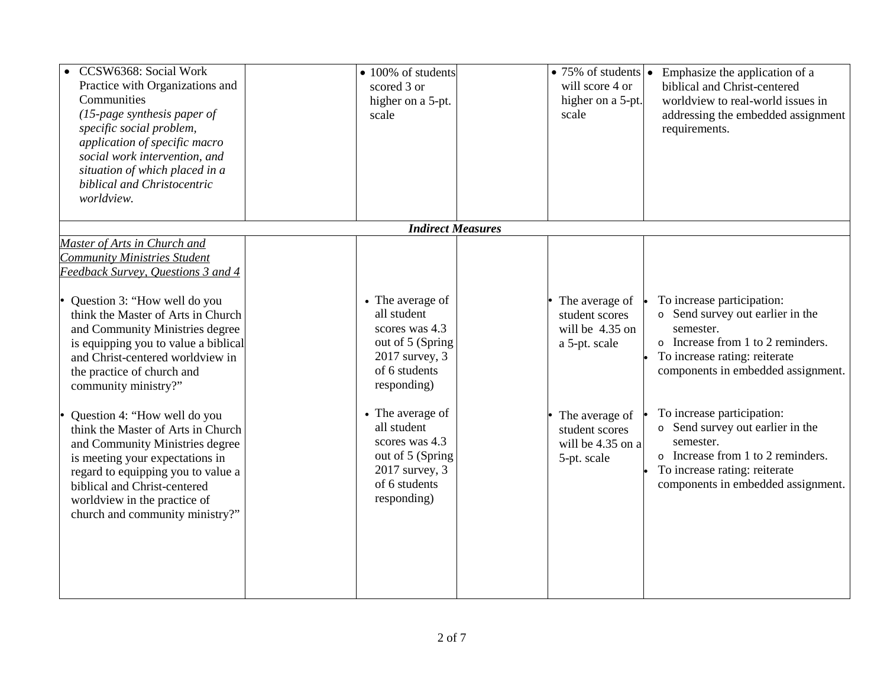| CCSW6368: Social Work<br>Practice with Organizations and<br>Communities<br>$(15$ -page synthesis paper of<br>specific social problem,<br>application of specific macro<br>social work intervention, and<br>situation of which placed in a<br>biblical and Christocentric<br>worldview.                                                                                                                                                                                                                                                                                                                                                    | • 100% of students<br>scored 3 or<br>higher on a 5-pt.<br>scale                                                                                                                                                                                     | $\bullet$ 75% of students $\bullet$<br>will score 4 or<br>higher on a 5-pt.<br>scale                                                         | Emphasize the application of a<br>biblical and Christ-centered<br>worldview to real-world issues in<br>addressing the embedded assignment<br>requirements.                                                                                                                                                                                                                         |
|-------------------------------------------------------------------------------------------------------------------------------------------------------------------------------------------------------------------------------------------------------------------------------------------------------------------------------------------------------------------------------------------------------------------------------------------------------------------------------------------------------------------------------------------------------------------------------------------------------------------------------------------|-----------------------------------------------------------------------------------------------------------------------------------------------------------------------------------------------------------------------------------------------------|----------------------------------------------------------------------------------------------------------------------------------------------|------------------------------------------------------------------------------------------------------------------------------------------------------------------------------------------------------------------------------------------------------------------------------------------------------------------------------------------------------------------------------------|
|                                                                                                                                                                                                                                                                                                                                                                                                                                                                                                                                                                                                                                           | <b>Indirect Measures</b>                                                                                                                                                                                                                            |                                                                                                                                              |                                                                                                                                                                                                                                                                                                                                                                                    |
| Master of Arts in Church and<br><b>Community Ministries Student</b><br>Feedback Survey, Questions 3 and 4<br>Question 3: "How well do you<br>think the Master of Arts in Church<br>and Community Ministries degree<br>is equipping you to value a biblical<br>and Christ-centered worldview in<br>the practice of church and<br>community ministry?"<br>Question 4: "How well do you<br>think the Master of Arts in Church<br>and Community Ministries degree<br>is meeting your expectations in<br>regard to equipping you to value a<br>biblical and Christ-centered<br>worldview in the practice of<br>church and community ministry?" | • The average of<br>all student<br>scores was 4.3<br>out of 5 (Spring)<br>2017 survey, 3<br>of 6 students<br>responding)<br>• The average of<br>all student<br>scores was 4.3<br>out of 5 (Spring<br>2017 survey, 3<br>of 6 students<br>responding) | The average of<br>student scores<br>will be 4.35 on<br>a 5-pt. scale<br>The average of<br>student scores<br>will be 4.35 on a<br>5-pt. scale | To increase participation:<br>o Send survey out earlier in the<br>semester.<br>o Increase from 1 to 2 reminders.<br>To increase rating: reiterate<br>components in embedded assignment.<br>To increase participation:<br>o Send survey out earlier in the<br>semester.<br>o Increase from 1 to 2 reminders.<br>To increase rating: reiterate<br>components in embedded assignment. |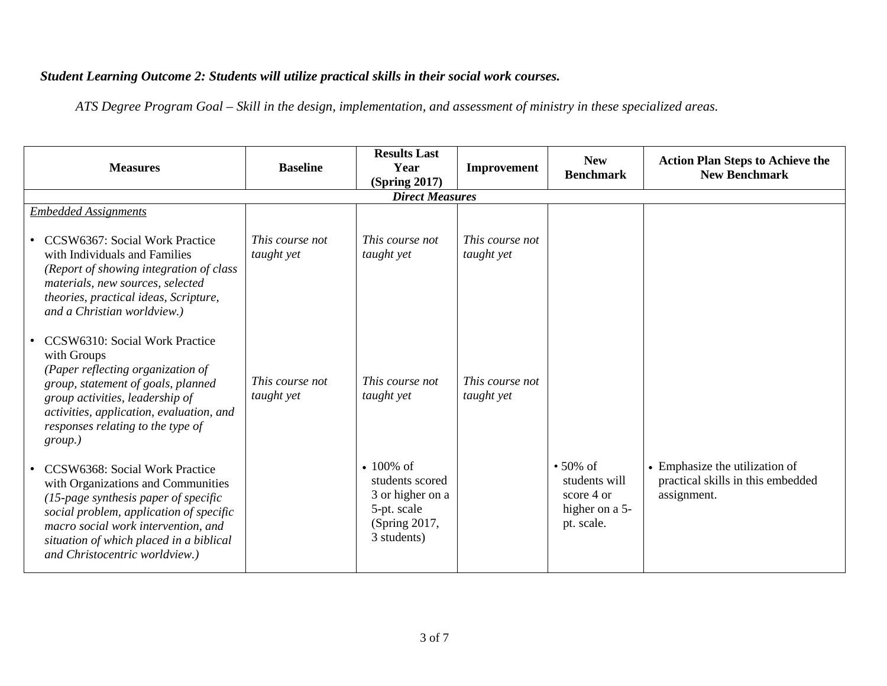# *Student Learning Outcome 2: Students will utilize practical skills in their social work courses.*

*ATS Degree Program Goal – Skill in the design, implementation, and assessment of ministry in these specialized areas.*

| <b>Measures</b>                                                                                                                                                                                                                                                                | <b>Baseline</b>               | <b>Results Last</b><br>Year<br><b>(Spring 2017)</b>                                                | Improvement                   | <b>New</b><br><b>Benchmark</b>                                                | <b>Action Plan Steps to Achieve the</b><br><b>New Benchmark</b>                    |
|--------------------------------------------------------------------------------------------------------------------------------------------------------------------------------------------------------------------------------------------------------------------------------|-------------------------------|----------------------------------------------------------------------------------------------------|-------------------------------|-------------------------------------------------------------------------------|------------------------------------------------------------------------------------|
|                                                                                                                                                                                                                                                                                |                               | <b>Direct Measures</b>                                                                             |                               |                                                                               |                                                                                    |
| <b>Embedded Assignments</b>                                                                                                                                                                                                                                                    |                               |                                                                                                    |                               |                                                                               |                                                                                    |
| <b>CCSW6367: Social Work Practice</b><br>with Individuals and Families<br>(Report of showing integration of class<br>materials, new sources, selected<br>theories, practical ideas, Scripture,<br>and a Christian worldview.)                                                  | This course not<br>taught yet | This course not<br>taught yet                                                                      | This course not<br>taught yet |                                                                               |                                                                                    |
| CCSW6310: Social Work Practice<br>with Groups<br>(Paper reflecting organization of<br>group, statement of goals, planned<br>group activities, leadership of<br>activities, application, evaluation, and<br>responses relating to the type of<br>group.)                        | This course not<br>taught yet | This course not<br>taught yet                                                                      | This course not<br>taught yet |                                                                               |                                                                                    |
| CCSW6368: Social Work Practice<br>with Organizations and Communities<br>$(15$ -page synthesis paper of specific<br>social problem, application of specific<br>macro social work intervention, and<br>situation of which placed in a biblical<br>and Christocentric worldview.) |                               | • $100\%$ of<br>students scored<br>3 or higher on a<br>5-pt. scale<br>(Spring 2017,<br>3 students) |                               | $\cdot$ 50% of<br>students will<br>score 4 or<br>higher on a 5-<br>pt. scale. | • Emphasize the utilization of<br>practical skills in this embedded<br>assignment. |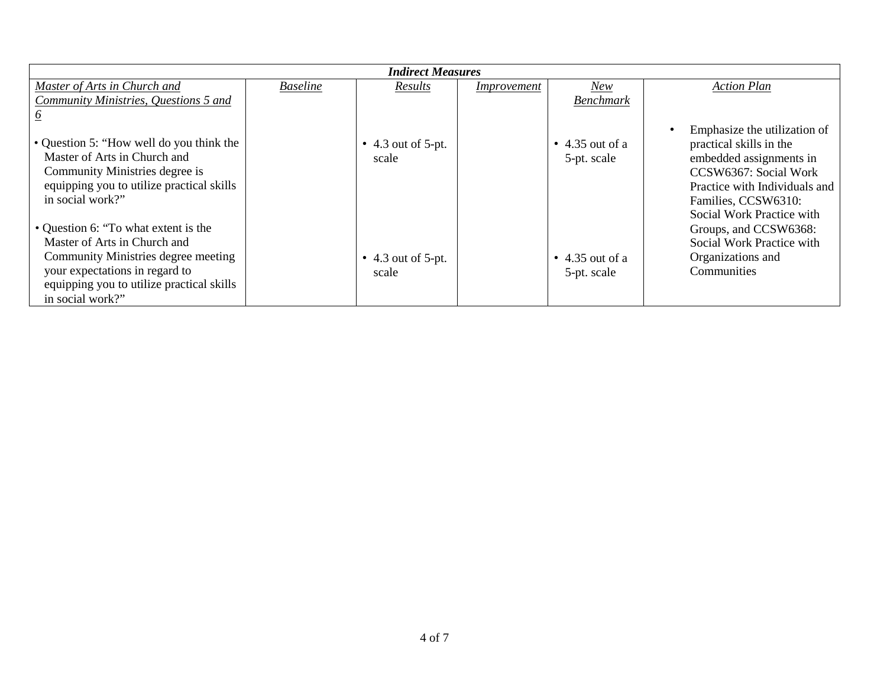| <b>Indirect Measures</b>                                                                                                                                                    |                 |                                     |             |                                        |                                                                                                                                                                                                  |  |
|-----------------------------------------------------------------------------------------------------------------------------------------------------------------------------|-----------------|-------------------------------------|-------------|----------------------------------------|--------------------------------------------------------------------------------------------------------------------------------------------------------------------------------------------------|--|
| Master of Arts in Church and                                                                                                                                                | <b>Baseline</b> | Results                             | Improvement | New                                    | <b>Action Plan</b>                                                                                                                                                                               |  |
| Community Ministries, Questions 5 and                                                                                                                                       |                 |                                     |             | <b>Benchmark</b>                       |                                                                                                                                                                                                  |  |
|                                                                                                                                                                             |                 |                                     |             |                                        |                                                                                                                                                                                                  |  |
| • Question 5: "How well do you think the<br>Master of Arts in Church and<br>Community Ministries degree is<br>equipping you to utilize practical skills<br>in social work?" |                 | $\bullet$ 4.3 out of 5-pt.<br>scale |             | $\bullet$ 4.35 out of a<br>5-pt. scale | Emphasize the utilization of<br>practical skills in the<br>embedded assignments in<br>CCSW6367: Social Work<br>Practice with Individuals and<br>Families, CCSW6310:<br>Social Work Practice with |  |
| • Question 6: "To what extent is the<br>Master of Arts in Church and                                                                                                        |                 |                                     |             |                                        | Groups, and CCSW6368:<br>Social Work Practice with                                                                                                                                               |  |
| Community Ministries degree meeting<br>your expectations in regard to<br>equipping you to utilize practical skills                                                          |                 | $\bullet$ 4.3 out of 5-pt.<br>scale |             | $\bullet$ 4.35 out of a<br>5-pt. scale | Organizations and<br>Communities                                                                                                                                                                 |  |
| in social work?"                                                                                                                                                            |                 |                                     |             |                                        |                                                                                                                                                                                                  |  |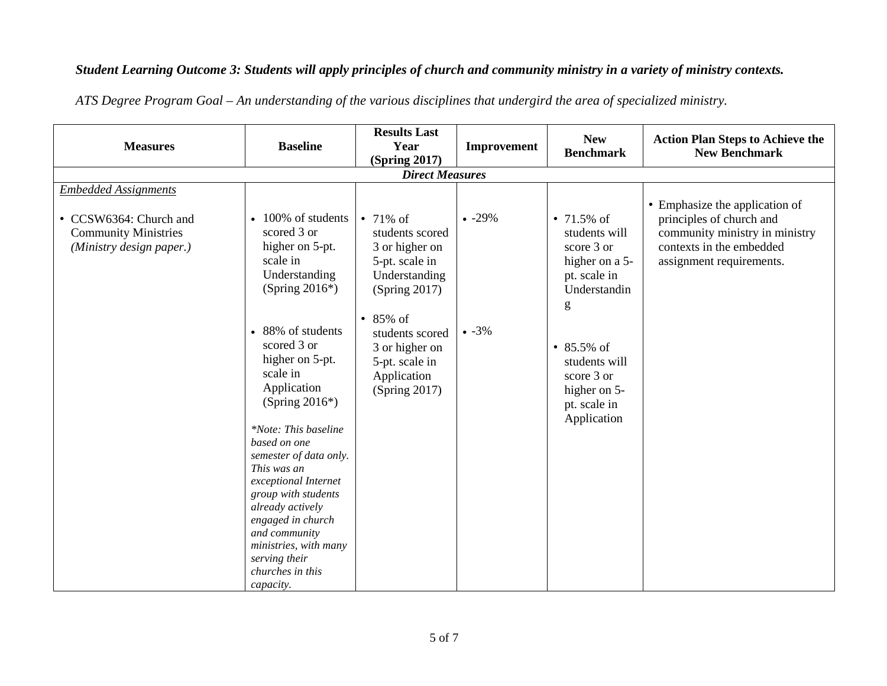## *Student Learning Outcome 3: Students will apply principles of church and community ministry in a variety of ministry contexts.*

| <b>Measures</b>                                                                                                  | <b>Baseline</b>                                                                                                                                                                                                                                                                                                                                                           | <b>Results Last</b><br>Year                                                                                | Improvement | <b>New</b><br><b>Benchmark</b>                                                                      | <b>Action Plan Steps to Achieve the</b><br><b>New Benchmark</b>                                                                                      |  |  |
|------------------------------------------------------------------------------------------------------------------|---------------------------------------------------------------------------------------------------------------------------------------------------------------------------------------------------------------------------------------------------------------------------------------------------------------------------------------------------------------------------|------------------------------------------------------------------------------------------------------------|-------------|-----------------------------------------------------------------------------------------------------|------------------------------------------------------------------------------------------------------------------------------------------------------|--|--|
|                                                                                                                  |                                                                                                                                                                                                                                                                                                                                                                           | <b>(Spring 2017)</b>                                                                                       |             |                                                                                                     |                                                                                                                                                      |  |  |
| <b>Direct Measures</b>                                                                                           |                                                                                                                                                                                                                                                                                                                                                                           |                                                                                                            |             |                                                                                                     |                                                                                                                                                      |  |  |
| <b>Embedded Assignments</b><br>• CCSW6364: Church and<br><b>Community Ministries</b><br>(Ministry design paper.) | • 100% of students<br>scored 3 or<br>higher on 5-pt.<br>scale in<br>Understanding<br>(Spring $2016^*$ )                                                                                                                                                                                                                                                                   | • $71\%$ of<br>students scored<br>3 or higher on<br>5-pt. scale in<br>Understanding<br>(Spring 2017)       | $-29%$      | • $71.5\%$ of<br>students will<br>score 3 or<br>higher on a 5-<br>pt. scale in<br>Understandin<br>g | • Emphasize the application of<br>principles of church and<br>community ministry in ministry<br>contexts in the embedded<br>assignment requirements. |  |  |
|                                                                                                                  | • 88% of students<br>scored 3 or<br>higher on 5-pt.<br>scale in<br>Application<br>(Spring $2016^*$ )<br>*Note: This baseline<br>based on one<br>semester of data only.<br>This was an<br>exceptional Internet<br>group with students<br>already actively<br>engaged in church<br>and community<br>ministries, with many<br>serving their<br>churches in this<br>capacity. | 85% of<br>$\bullet$<br>students scored<br>3 or higher on<br>5-pt. scale in<br>Application<br>(Spring 2017) | $-3%$       | • 85.5% of<br>students will<br>score 3 or<br>higher on 5-<br>pt. scale in<br>Application            |                                                                                                                                                      |  |  |

*ATS Degree Program Goal – An understanding of the various disciplines that undergird the area of specialized ministry.*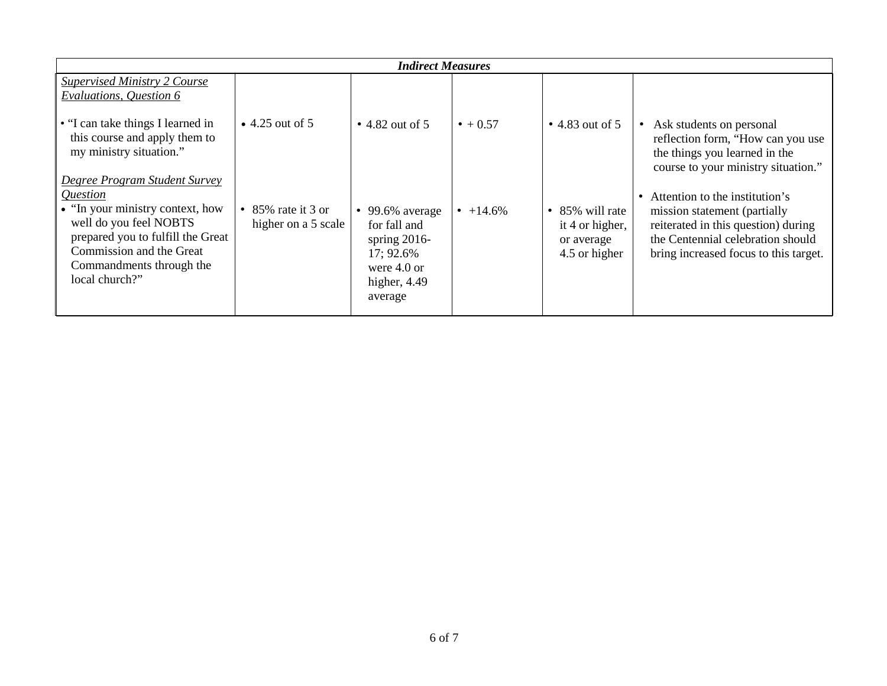| <b>Indirect Measures</b>                                                                                                                                                                                               |                                           |                                                                                                                       |                  |                                                                      |                                                                                                                                                                                                  |  |  |
|------------------------------------------------------------------------------------------------------------------------------------------------------------------------------------------------------------------------|-------------------------------------------|-----------------------------------------------------------------------------------------------------------------------|------------------|----------------------------------------------------------------------|--------------------------------------------------------------------------------------------------------------------------------------------------------------------------------------------------|--|--|
| <b>Supervised Ministry 2 Course</b><br>Evaluations, Question 6                                                                                                                                                         |                                           |                                                                                                                       |                  |                                                                      |                                                                                                                                                                                                  |  |  |
| • "I can take things I learned in<br>this course and apply them to<br>my ministry situation."                                                                                                                          | $\bullet$ 4.25 out of 5                   | $\bullet$ 4.82 out of 5                                                                                               | $\bullet + 0.57$ | $\bullet$ 4.83 out of 5                                              | Ask students on personal<br>$\bullet$<br>reflection form, "How can you use<br>the things you learned in the<br>course to your ministry situation."                                               |  |  |
| Degree Program Student Survey<br>Question<br>• "In your ministry context, how<br>well do you feel NOBTS<br>prepared you to fulfill the Great<br>Commission and the Great<br>Commandments through the<br>local church?" | • 85% rate it 3 or<br>higher on a 5 scale | $\bullet$ 99.6% average<br>for fall and<br>spring $2016$ -<br>17; 92.6%<br>were $4.0$ or<br>higher, $4.49$<br>average | • $+14.6\%$      | • $85\%$ will rate<br>it 4 or higher,<br>or average<br>4.5 or higher | Attention to the institution's<br>$\bullet$<br>mission statement (partially<br>reiterated in this question) during<br>the Centennial celebration should<br>bring increased focus to this target. |  |  |